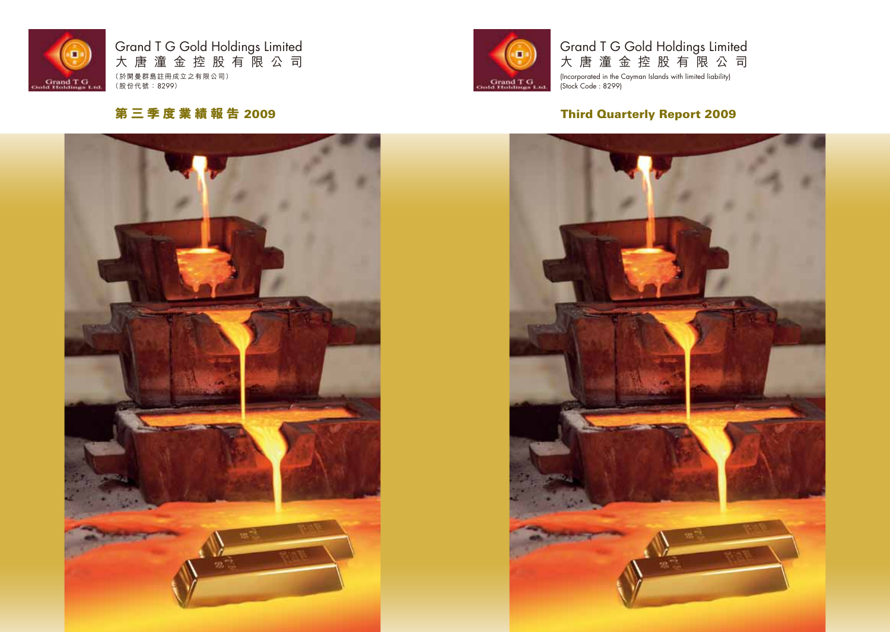

# Grand T G Gold Holdings Limited 大 唐 潼 金 控 股 有 限 公 司

(Incorporated in the Cayman Islands with limited liability) (Stock Code : 8299)

# Third Quarterly Report 2009

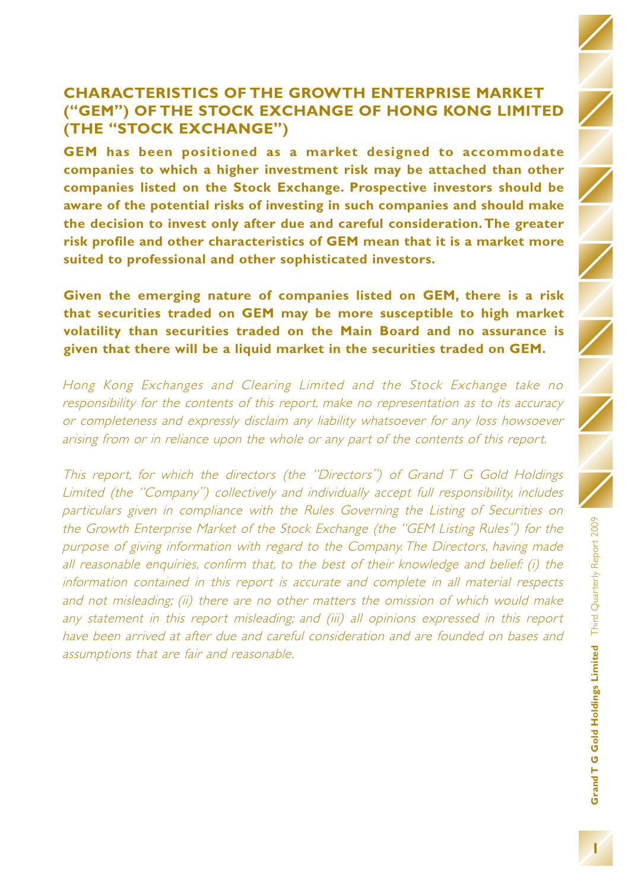# **CHARACTERISTICS OF THE GROWTH ENTERPRISE MARKET ("GEM") OF THE STOCK EXCHANGE OF HONG KONG LIMITED (THE "STOCK EXCHANGE")**

**GEM has been positioned as a market designed to accommodate companies to which a higher investment risk may be attached than other companies listed on the Stock Exchange. Prospective investors should be aware of the potential risks of investing in such companies and should make the decision to invest only after due and careful consideration. The greater risk profile and other characteristics of GEM mean that it is a market more suited to professional and other sophisticated investors.**

**Given the emerging nature of companies listed on GEM, there is a risk that securities traded on GEM may be more susceptible to high market volatility than securities traded on the Main Board and no assurance is given that there will be a liquid market in the securities traded on GEM.**

Hong Kong Exchanges and Clearing Limited and the Stock Exchange take no responsibility for the contents of this report, make no representation as to its accuracy or completeness and expressly disclaim any liability whatsoever for any loss howsoever arising from or in reliance upon the whole or any part of the contents of this report.

This report, for which the directors (the "Directors") of Grand T G Gold Holdings Limited (the "Company") collectively and individually accept full responsibility, includes particulars given in compliance with the Rules Governing the Listing of Securities on the Growth Enterprise Market of the Stock Exchange (the "GEM Listing Rules") for the purpose of giving information with regard to the Company. The Directors, having made all reasonable enquiries, confirm that, to the best of their knowledge and belief: (i) the information contained in this report is accurate and complete in all material respects and not misleading; (ii) there are no other matters the omission of which would make any statement in this report misleading; and (iii) all opinions expressed in this report have been arrived at after due and careful consideration and are founded on bases and assumptions that are fair and reasonable.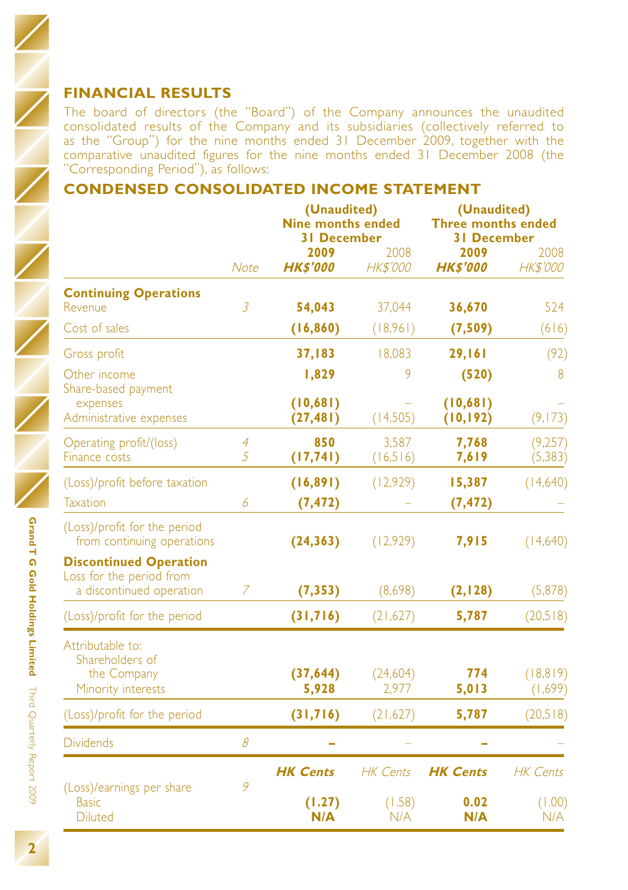The board of directors (the "Board") of the Company announces the unaudited consolidated results of the Company and its subsidiaries (collectively referred to as the "Group") for the nine months ended 31 December 2009, together with the comparative unaudited figures for the nine months ended 31 December 2008 (the "Corresponding Period"), as follows:

# **CONDENSED CONSOLIDATED INCOME STATEMENT**

|                                                                                       |                | (Unaudited)<br><b>Nine months ended</b><br><b>31 December</b> |                         | (Unaudited)<br><b>Three months ended</b><br><b>31 December</b> |                         |  |
|---------------------------------------------------------------------------------------|----------------|---------------------------------------------------------------|-------------------------|----------------------------------------------------------------|-------------------------|--|
|                                                                                       | <b>Note</b>    | 2009<br><b>HK\$'000</b>                                       | 2008<br><b>HK\$'000</b> | 2009<br><b>HK\$'000</b>                                        | 2008<br><b>HK\$'000</b> |  |
| <b>Continuing Operations</b><br>Revenue                                               | $\overline{3}$ | 54,043                                                        | 37,044                  | 36,670                                                         | 524                     |  |
| Cost of sales                                                                         |                | (16, 860)                                                     | (18,961)                | (7,509)                                                        | (616)                   |  |
| Gross profit                                                                          |                | 37,183                                                        | 18,083                  | 29,161                                                         | (92)                    |  |
| Other income<br>Share-based payment                                                   |                | 1,829                                                         | 9                       | (520)                                                          | 8                       |  |
| expenses<br>Administrative expenses                                                   |                | (10,681)<br>(27, 481)                                         | (14,505)                | (10,681)<br>(10, 192)                                          | (9, 173)                |  |
| Operating profit/(loss)<br>Finance costs                                              | 4<br>5         | 850<br>(17, 741)                                              | 3.587<br>(16,516)       | 7,768<br>7,619                                                 | (9,257)<br>(5, 383)     |  |
| (Loss)/profit before taxation                                                         |                | (16, 891)                                                     | (12,929)                | 15,387                                                         | (14,640)                |  |
| <b>Taxation</b>                                                                       | 6              | (7, 472)                                                      |                         | (7, 472)                                                       |                         |  |
| (Loss)/profit for the period<br>from continuing operations                            |                | (24, 363)                                                     | (12,929)                | 7,915                                                          | (14,640)                |  |
| <b>Discontinued Operation</b><br>Loss for the period from<br>a discontinued operation | 7              | (7, 353)                                                      | (8,698)                 | (2, 128)                                                       | (5,878)                 |  |
| (Loss)/profit for the period                                                          |                | (31,716)                                                      | (21,627)                | 5,787                                                          | (20,518)                |  |
| Attributable to:<br>Shareholders of                                                   |                |                                                               |                         |                                                                |                         |  |
| the Company<br>Minority interests                                                     |                | (37, 644)<br>5,928                                            | (24,604)<br>2,977       | 774<br>5,013                                                   | (18, 819)<br>(1,699)    |  |
| (Loss)/profit for the period                                                          |                | (31,716)                                                      | (21,627)                | 5,787                                                          | (20,518)                |  |
| <b>Dividends</b>                                                                      | 8              |                                                               |                         |                                                                |                         |  |
| (Loss)/earnings per share                                                             | 9              | <b>HK Cents</b>                                               | <b>HK Cents</b>         | <b>HK Cents</b>                                                | <b>HK</b> Cents         |  |
| <b>Basic</b><br><b>Diluted</b>                                                        |                | (1.27)<br>N/A                                                 | (1.58)<br>N/A           | 0.02<br>N/A                                                    | (1.00)<br>N/A           |  |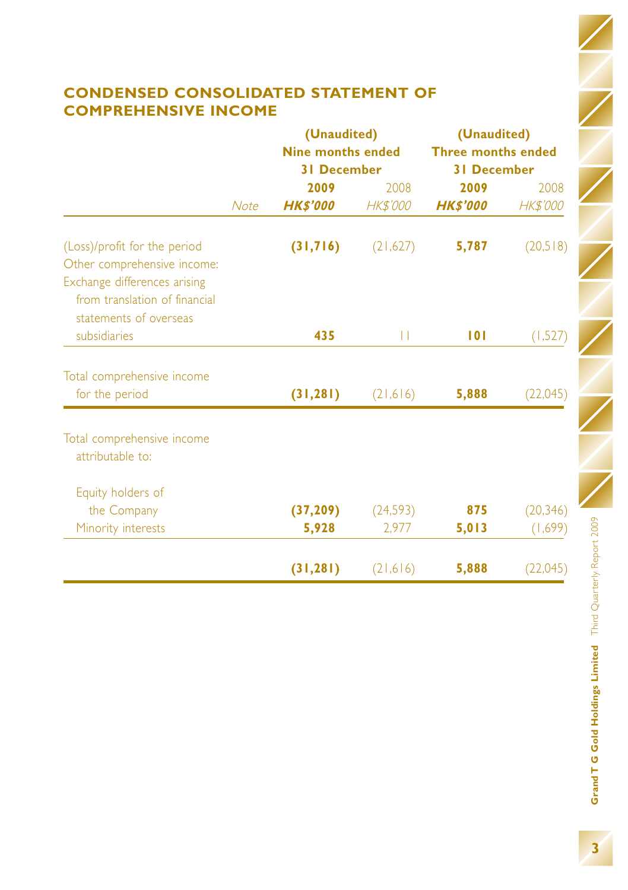# **CONDENSED CONSOLIDATED STATEMENT OF COMPREHENSIVE INCOME**

|                                                                                         |             | (Unaudited)<br><b>Nine months ended</b> |           | (Unaudited)<br><b>Three months ended</b><br><b>31 December</b> |                 |  |
|-----------------------------------------------------------------------------------------|-------------|-----------------------------------------|-----------|----------------------------------------------------------------|-----------------|--|
|                                                                                         |             | <b>31 December</b>                      |           |                                                                |                 |  |
|                                                                                         |             | 2009                                    | 2008      | 2009                                                           | 2008            |  |
|                                                                                         | <b>Note</b> | <b>HK\$'000</b>                         | HK\$'000  | <b>HK\$'000</b>                                                | <b>HK\$'000</b> |  |
| (Loss)/profit for the period<br>Other comprehensive income:                             |             | (31,716)                                | (21,627)  | 5,787                                                          | (20,518)        |  |
| Exchange differences arising<br>from translation of financial<br>statements of overseas |             |                                         |           |                                                                |                 |  |
| subsidiaries                                                                            |             | 435                                     | П         | 101                                                            | (1,527)         |  |
| Total comprehensive income                                                              |             |                                         |           |                                                                |                 |  |
| for the period                                                                          |             | (31, 281)                               | (21, 616) | 5,888                                                          | (22,045)        |  |
| Total comprehensive income<br>attributable to:                                          |             |                                         |           |                                                                |                 |  |
| Equity holders of                                                                       |             |                                         |           |                                                                |                 |  |
| the Company                                                                             |             | (37, 209)                               | (24, 593) | 875                                                            | (20, 346)       |  |
| Minority interests                                                                      |             | 5,928                                   | 2,977     | 5,013                                                          | (1,699)         |  |
|                                                                                         |             | (31, 281)                               | (21, 616) | 5,888                                                          | (22,045)        |  |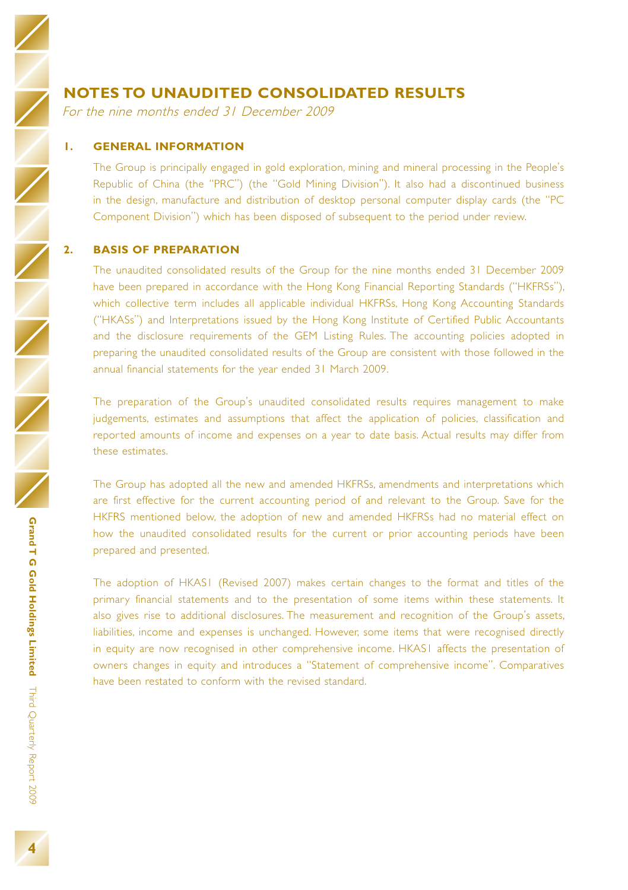### **NOTES TO UNAUDITED CONSOLIDATED RESULTS**

For the nine months ended 31 December 2009

#### **1. GENERAL INFORMATION**

The Group is principally engaged in gold exploration, mining and mineral processing in the People's Republic of China (the "PRC") (the "Gold Mining Division"). It also had a discontinued business in the design, manufacture and distribution of desktop personal computer display cards (the "PC Component Division") which has been disposed of subsequent to the period under review.

#### **2. BASIS OF PREPARATION**

The unaudited consolidated results of the Group for the nine months ended 31 December 2009 have been prepared in accordance with the Hong Kong Financial Reporting Standards ("HKFRSs"), which collective term includes all applicable individual HKFRSs, Hong Kong Accounting Standards ("HKASs") and Interpretations issued by the Hong Kong Institute of Certified Public Accountants and the disclosure requirements of the GEM Listing Rules. The accounting policies adopted in preparing the unaudited consolidated results of the Group are consistent with those followed in the annual financial statements for the year ended 31 March 2009.

The preparation of the Group's unaudited consolidated results requires management to make judgements, estimates and assumptions that affect the application of policies, classification and reported amounts of income and expenses on a year to date basis. Actual results may differ from these estimates.

The Group has adopted all the new and amended HKFRSs, amendments and interpretations which are first effective for the current accounting period of and relevant to the Group. Save for the HKFRS mentioned below, the adoption of new and amended HKFRSs had no material effect on how the unaudited consolidated results for the current or prior accounting periods have been prepared and presented.

The adoption of HKAS1 (Revised 2007) makes certain changes to the format and titles of the primary financial statements and to the presentation of some items within these statements. It also gives rise to additional disclosures. The measurement and recognition of the Group's assets, liabilities, income and expenses is unchanged. However, some items that were recognised directly in equity are now recognised in other comprehensive income. HKAS1 affects the presentation of owners changes in equity and introduces a "Statement of comprehensive income". Comparatives have been restated to conform with the revised standard.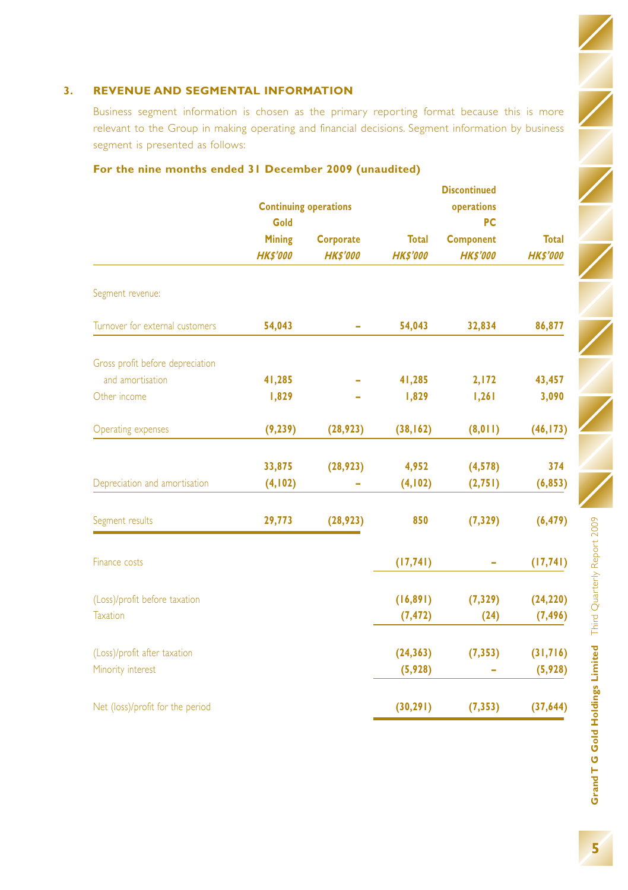#### **3. REVENUE AND SEGMENTAL INFORMATION**

Business segment information is chosen as the primary reporting format because this is more relevant to the Group in making operating and financial decisions. Segment information by business segment is presented as follows:

|                                  | <b>Continuing operations</b><br>Gold |                                     |                                 | <b>Discontinued</b><br>operations<br>PC |                                 |
|----------------------------------|--------------------------------------|-------------------------------------|---------------------------------|-----------------------------------------|---------------------------------|
|                                  | <b>Mining</b><br><b>HK\$'000</b>     | <b>Corporate</b><br><b>HK\$'000</b> | <b>Total</b><br><b>HK\$'000</b> | <b>Component</b><br><b>HK\$'000</b>     | <b>Total</b><br><b>HK\$'000</b> |
| Segment revenue:                 |                                      |                                     |                                 |                                         |                                 |
| Turnover for external customers  | 54,043                               |                                     | 54,043                          | 32,834                                  | 86,877                          |
| Gross profit before depreciation |                                      |                                     |                                 |                                         |                                 |
| and amortisation                 | 41,285                               |                                     | 41,285                          | 2,172                                   | 43,457                          |
| Other income                     | 1,829                                |                                     | 1,829                           | 1,261                                   | 3,090                           |
| Operating expenses               | (9, 239)                             | (28, 923)                           | (38, 162)                       | (8, 011)                                | (46, 173)                       |
|                                  | 33,875                               | (28, 923)                           | 4,952                           | (4, 578)                                | 374                             |
| Depreciation and amortisation    | (4, 102)                             |                                     | (4, 102)                        | (2, 751)                                | (6, 853)                        |
| Segment results                  | 29,773                               | (28, 923)                           | 850                             | (7, 329)                                | (6, 479)                        |
| Finance costs                    |                                      |                                     | (17, 741)                       |                                         | (17, 741)                       |
| (Loss)/profit before taxation    |                                      |                                     | (16, 891)                       | (7, 329)                                | (24, 220)                       |
| <b>Taxation</b>                  |                                      |                                     | (7, 472)                        | (24)                                    | (7, 496)                        |
| (Loss)/profit after taxation     |                                      |                                     | (24, 363)                       | (7, 353)                                | (31,716)                        |
| Minority interest                |                                      |                                     | (5,928)                         |                                         | (5,928)                         |
| Net (loss)/profit for the period |                                      |                                     | (30, 291)                       | (7, 353)                                | (37, 644)                       |

### **For the nine months ended 31 December 2009 (unaudited)**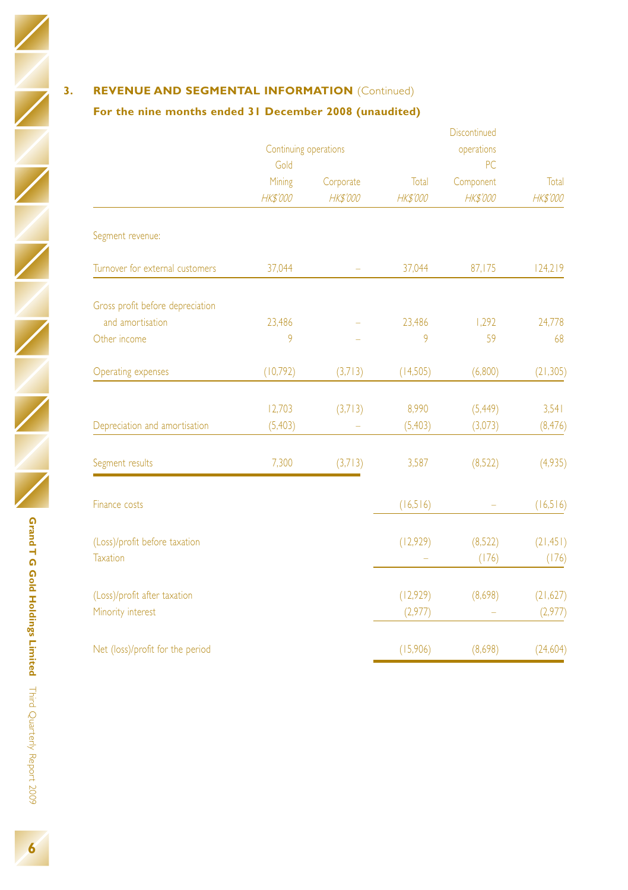# **3. REVENUE AND SEGMENTAL INFORMATION** (Continued)

### **For the nine months ended 31 December 2008 (unaudited)**

|                                                  |                       |                 |                 | Discontinued     |                    |  |
|--------------------------------------------------|-----------------------|-----------------|-----------------|------------------|--------------------|--|
|                                                  | Continuing operations |                 |                 | operations       |                    |  |
|                                                  | Gold                  |                 |                 |                  |                    |  |
|                                                  | Mining                | Corporate       | Total           | Component        | Total              |  |
|                                                  | <b>HK\$'000</b>       | <b>HK\$'000</b> | <b>HK\$'000</b> | <b>HK\$'000</b>  | <b>HK\$'000</b>    |  |
| Segment revenue:                                 |                       |                 |                 |                  |                    |  |
| Turnover for external customers                  | 37,044                | ۰               | 37,044          | 87,175           | 124,219            |  |
| Gross profit before depreciation                 |                       |                 |                 |                  |                    |  |
| and amortisation                                 | 23,486                |                 | 23,486          | 1,292            | 24,778             |  |
| Other income                                     | 9                     |                 | 9               | 59               | 68                 |  |
| Operating expenses                               | (10,792)              | (3,713)         | (14,505)        | (6,800)          | (21, 305)          |  |
|                                                  | 12,703                | (3,713)         | 8,990           | (5, 449)         | 3,541              |  |
| Depreciation and amortisation                    | (5,403)               |                 | (5,403)         | (3,073)          | (8, 476)           |  |
| Segment results                                  | 7,300                 | (3,713)         | 3,587           | (8,522)          | (4,935)            |  |
| Finance costs                                    |                       |                 | (16,516)        |                  | (16,516)           |  |
| (Loss)/profit before taxation<br><b>Taxation</b> |                       |                 | (12,929)        | (8,522)<br>(176) | (21, 451)<br>(176) |  |
|                                                  |                       |                 |                 |                  |                    |  |
| (Loss)/profit after taxation                     |                       |                 | (12,929)        | (8,698)          | (21,627)           |  |
| Minority interest                                |                       |                 | (2,977)         |                  | (2,977)            |  |
| Net (loss)/profit for the period                 |                       |                 | (15,906)        | (8,698)          | (24,604)           |  |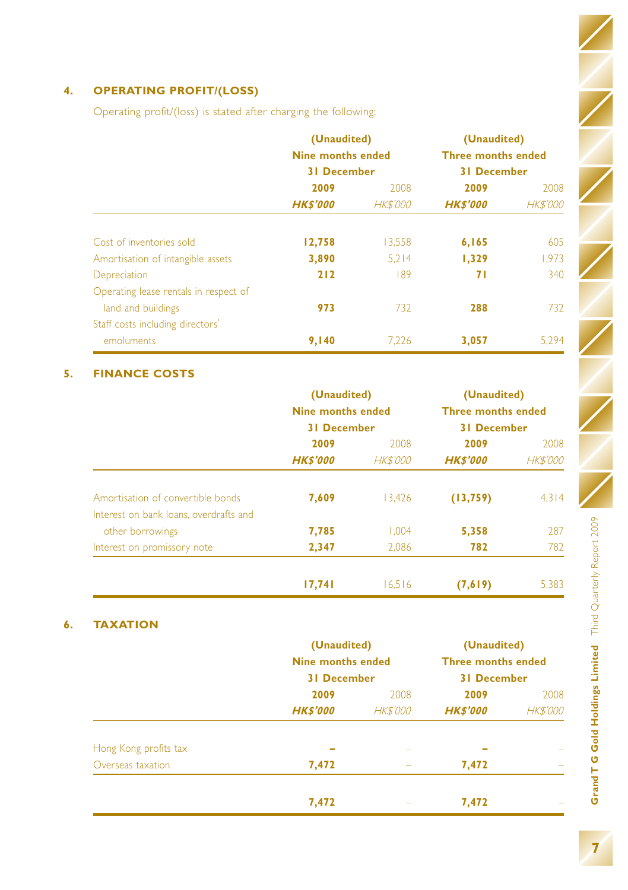# **4. OPERATING PROFIT/(LOSS)**

Operating profit/(loss) is stated after charging the following:

|                                                             | (Unaudited)<br><b>Nine months ended</b><br><b>31 December</b> |                         | (Unaudited)<br><b>Three months ended</b><br><b>31 December</b> |                         |
|-------------------------------------------------------------|---------------------------------------------------------------|-------------------------|----------------------------------------------------------------|-------------------------|
|                                                             | 2009<br><b>HK\$'000</b>                                       | 2008<br><b>HK\$'000</b> | 2009<br><b>HKS'000</b>                                         | 2008<br><b>HK\$'000</b> |
| Cost of inventories sold                                    | 12,758                                                        | 13,558                  | 6,165                                                          | 605                     |
| Amortisation of intangible assets                           | 3,890                                                         | 5.214                   | 1,329                                                          | 1,973                   |
| Depreciation                                                | 212                                                           | 189                     | 71                                                             | 340                     |
| Operating lease rentals in respect of<br>land and buildings | 973                                                           | 732                     | 288                                                            | 732                     |
| Staff costs including directors'                            |                                                               |                         |                                                                |                         |
| emoluments                                                  | 9,140                                                         | 7.226                   | 3,057                                                          | 5.294                   |

### **5. FINANCE COSTS**

|                                        | (Unaudited)              |                 | (Unaudited)<br><b>Three months ended</b><br><b>31 December</b> |                 |  |
|----------------------------------------|--------------------------|-----------------|----------------------------------------------------------------|-----------------|--|
|                                        | <b>Nine months ended</b> |                 |                                                                |                 |  |
|                                        | <b>31 December</b>       |                 |                                                                |                 |  |
|                                        | 2009                     | 2008            | 2009                                                           | 2008            |  |
|                                        | <b>HKS'000</b>           | <b>HK\$'000</b> | <b>HKS'000</b>                                                 | <b>HK\$'000</b> |  |
| Amortisation of convertible bonds      | 7,609                    | 13,426          | (13, 759)                                                      | 4,314           |  |
| Interest on bank loans, overdrafts and |                          |                 |                                                                |                 |  |
| other borrowings                       | 7,785                    | 1.004           | 5,358                                                          | 287             |  |
| Interest on promissory note            | 2,347                    | 2.086           | 782                                                            | 782             |  |
|                                        | 17,741                   | 16.516          | (7,619)                                                        | 5,383           |  |

### **6. TAXATION**

|                       | (Unaudited)<br><b>Nine months ended</b><br><b>31 December</b> |                          | (Unaudited)<br><b>Three months ended</b><br><b>31 December</b> |                 |  |
|-----------------------|---------------------------------------------------------------|--------------------------|----------------------------------------------------------------|-----------------|--|
|                       |                                                               |                          |                                                                |                 |  |
|                       | 2009                                                          | 2008                     | 2009                                                           | 2008            |  |
|                       | <b>HK\$'000</b>                                               | <b>HK\$'000</b>          | <b>HK\$'000</b>                                                | <b>HK\$'000</b> |  |
| Hong Kong profits tax |                                                               | -                        |                                                                | -               |  |
| Overseas taxation     | 7,472                                                         | $\overline{\phantom{a}}$ | 7,472                                                          |                 |  |
|                       | 7,472                                                         | -                        | 7,472                                                          | -               |  |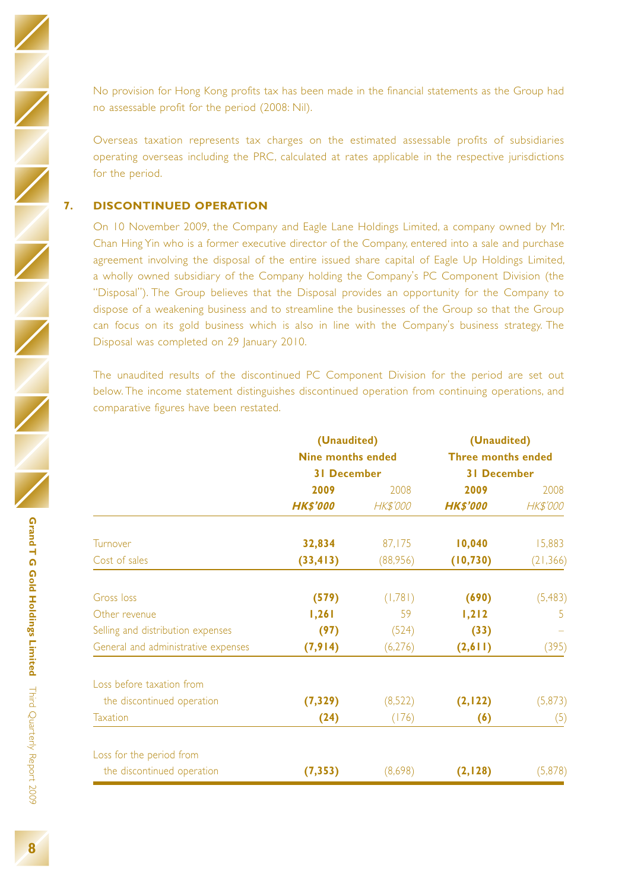No provision for Hong Kong profits tax has been made in the financial statements as the Group had no assessable profit for the period (2008: Nil).

Overseas taxation represents tax charges on the estimated assessable profits of subsidiaries operating overseas including the PRC, calculated at rates applicable in the respective jurisdictions for the period.

#### **7. DISCONTINUED OPERATION**

On 10 November 2009, the Company and Eagle Lane Holdings Limited, a company owned by Mr. Chan Hing Yin who is a former executive director of the Company, entered into a sale and purchase agreement involving the disposal of the entire issued share capital of Eagle Up Holdings Limited, a wholly owned subsidiary of the Company holding the Company's PC Component Division (the "Disposal"). The Group believes that the Disposal provides an opportunity for the Company to dispose of a weakening business and to streamline the businesses of the Group so that the Group can focus on its gold business which is also in line with the Company's business strategy. The Disposal was completed on 29 January 2010.

The unaudited results of the discontinued PC Component Division for the period are set out below. The income statement distinguishes discontinued operation from continuing operations, and comparative figures have been restated.

|                                     | (Unaudited)              |                 | (Unaudited)<br><b>Three months ended</b><br><b>31 December</b> |                 |  |
|-------------------------------------|--------------------------|-----------------|----------------------------------------------------------------|-----------------|--|
|                                     | <b>Nine months ended</b> |                 |                                                                |                 |  |
|                                     | <b>31 December</b>       |                 |                                                                |                 |  |
|                                     | 2009                     | 2008            | 2009                                                           | 2008            |  |
|                                     | <b>HK\$'000</b>          | <b>HK\$'000</b> | <b>HK\$'000</b>                                                | <b>HK\$'000</b> |  |
| Turnover                            | 32,834                   | 87,175          | 10,040                                                         | 15,883          |  |
| Cost of sales                       | (33, 413)                | (88,956)        | (10, 730)                                                      | (21, 366)       |  |
| <b>Gross loss</b>                   | (579)                    | (1,781)         | (690)                                                          | (5, 483)        |  |
| Other revenue                       | 1,261                    | 59              | 1,212                                                          | -5              |  |
| Selling and distribution expenses   | (97)                     | (524)           | (33)                                                           |                 |  |
| General and administrative expenses | (7, 914)                 | (6,276)         | (2,611)                                                        | (395)           |  |
| Loss before taxation from           |                          |                 |                                                                |                 |  |
| the discontinued operation          | (7, 329)                 | (8,522)         | (2, 122)                                                       | (5, 873)        |  |
| <b>Taxation</b>                     | (24)                     | (176)           | (6)                                                            | (5)             |  |
| Loss for the period from            |                          |                 |                                                                |                 |  |
| the discontinued operation          | (7, 353)                 | (8,698)         | (2,128)                                                        | (5,878)         |  |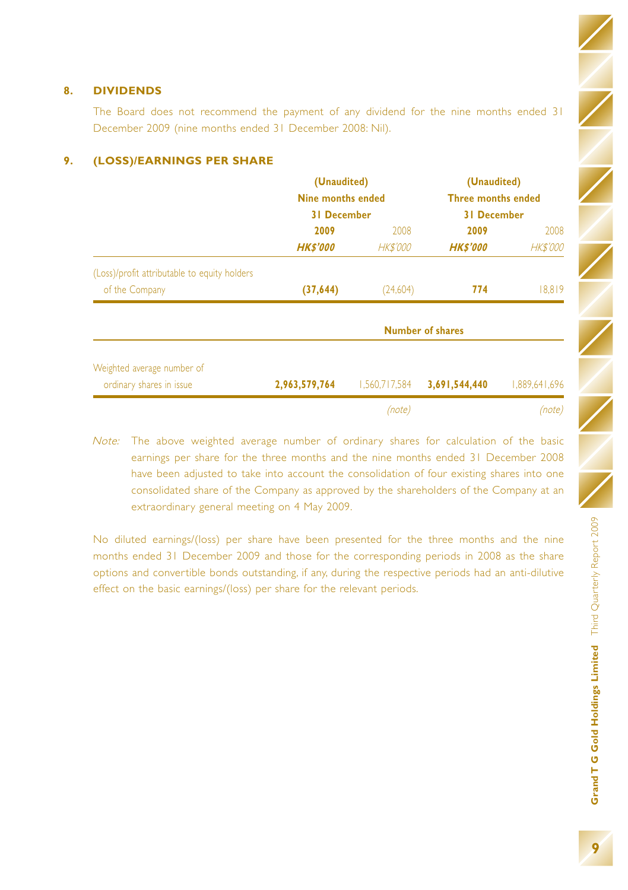#### **8. DIVIDENDS**

The Board does not recommend the payment of any dividend for the nine months ended 31 December 2009 (nine months ended 31 December 2008: Nil).

|                                              | (Unaudited)<br>Nine months ended |                 | (Unaudited)<br><b>Three months ended</b> |                 |
|----------------------------------------------|----------------------------------|-----------------|------------------------------------------|-----------------|
|                                              | <b>31 December</b>               |                 | <b>31 December</b>                       |                 |
|                                              | 2009                             | 2009<br>2008    |                                          | 2008            |
|                                              | <b>HK\$'000</b>                  | <b>HK\$'000</b> | <b>HK\$'000</b>                          | <b>HK\$'000</b> |
| (Loss)/profit attributable to equity holders |                                  |                 |                                          |                 |
| of the Company                               | (37, 644)                        | (24,604)        | 774                                      | 18,819          |
|                                              |                                  |                 | <b>Number of shares</b>                  |                 |
| Weighted average number of                   |                                  |                 |                                          |                 |
| ordinary shares in issue                     | 2,963,579,764                    | 1.560.717.584   | 3,691,544,440                            | 1.889.641.696   |
|                                              |                                  | (note)          |                                          | (note)          |

#### **9. (LOSS)/EARNINGS PER SHARE**

Note: The above weighted average number of ordinary shares for calculation of the basic earnings per share for the three months and the nine months ended 31 December 2008 have been adjusted to take into account the consolidation of four existing shares into one consolidated share of the Company as approved by the shareholders of the Company at an extraordinary general meeting on 4 May 2009.

No diluted earnings/(loss) per share have been presented for the three months and the nine months ended 31 December 2009 and those for the corresponding periods in 2008 as the share options and convertible bonds outstanding, if any, during the respective periods had an anti-dilutive effect on the basic earnings/(loss) per share for the relevant periods.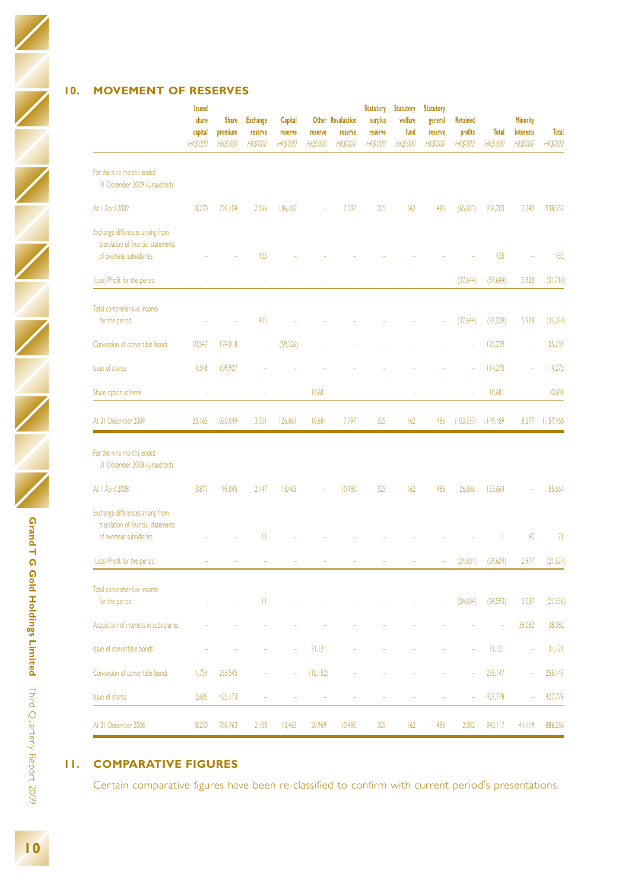#### **10. MOVEMENT OF RESERVES**

|                                                                                                      | <b>Issued</b><br>share<br>capital<br><b>HK\$'000</b> | <b>Share</b><br>premium<br><b>HK\$'000</b> | <b>Exchange</b><br>reserve<br><b>HK\$'000</b> | Capital<br>reserve<br><b>HK\$'000</b> | reserve<br><b>HK\$'000</b> | Other Revaluation<br>reserve<br>HK\$'000 | <b>Statutory</b><br>surplus<br>reserve<br><b>HK\$'000</b> | <b>Statutory</b><br>welfare<br>fund<br><b>HK\$'000</b> | <b>Statutory</b><br>general<br>reserve<br><b>HK\$'000</b> | <b>Retained</b><br>profits<br>HK\$'000 | <b>Total</b><br>HK\$'000 | <b>Minority</b><br>interests<br><b>HK\$'000</b> | <b>Total</b><br>HK\$'000 |
|------------------------------------------------------------------------------------------------------|------------------------------------------------------|--------------------------------------------|-----------------------------------------------|---------------------------------------|----------------------------|------------------------------------------|-----------------------------------------------------------|--------------------------------------------------------|-----------------------------------------------------------|----------------------------------------|--------------------------|-------------------------------------------------|--------------------------|
| For the nine months ended<br>31 December 2009 (Unaudited)                                            |                                                      |                                            |                                               |                                       |                            |                                          |                                                           |                                                        |                                                           |                                        |                          |                                                 |                          |
| At I April 2009                                                                                      | 8,270                                                | 796,104                                    | 2,566                                         | 186,187                               |                            | 7,797                                    | 325                                                       | 162                                                    | 485                                                       | (65, 693)                              | 936,203                  | 2,349                                           | 938,552                  |
| Exchange differences arising from<br>translation of financial statements<br>of overseas subsidiaries |                                                      |                                            | 435                                           |                                       |                            |                                          |                                                           |                                                        |                                                           |                                        | 435                      |                                                 | 435                      |
| (Loss)/Profit for the period                                                                         |                                                      |                                            | i,                                            |                                       |                            |                                          |                                                           |                                                        |                                                           | (37,644)                               | (37,644)                 | 5,928                                           | (31,716)                 |
| Total comprehensive income<br>for the period                                                         |                                                      |                                            | 435                                           |                                       |                            |                                          |                                                           |                                                        |                                                           | (37, 644)                              | (37,209)                 | 5,928                                           | (31, 281)                |
| Conversion of convertible bonds                                                                      | 10,547                                               | 174,018                                    |                                               | (59, 326)                             |                            |                                          |                                                           |                                                        |                                                           |                                        | 125,239                  | i,                                              | 125,239                  |
| <b>Issue of shares</b>                                                                               | 4.348                                                | 109.927                                    |                                               |                                       |                            |                                          |                                                           |                                                        |                                                           |                                        | 114,275                  |                                                 | 114,275                  |
| Share option scheme                                                                                  | ×,                                                   | ÷                                          | ٠                                             | ś                                     | 10,681                     | i,                                       | ÷                                                         | ٠                                                      | i,                                                        | ś                                      | 10,681                   | i,                                              | 10,681                   |
| At 31 December 2009                                                                                  | 23,165                                               | 1,080,049                                  | 3,001                                         | 126,861                               | 10,681                     | 7,797                                    | 325                                                       | 162                                                    | 485                                                       |                                        | $(103,337)$ $1,149,189$  | 8,277                                           | 1,157,466                |
| For the nine months ended<br>31 December 2008 (Unaudited)                                            |                                                      |                                            |                                               |                                       |                            |                                          |                                                           |                                                        |                                                           |                                        |                          |                                                 |                          |
| At I April 2008                                                                                      | 3,871                                                | 98,045                                     | 2,147                                         | 13,463                                |                            | 10,480                                   | 325                                                       | 162                                                    | 485                                                       | 26,686                                 | 155,664                  |                                                 | 155,664                  |
| Exchange differences arising from<br>translation of financial statements<br>of overseas subsidiaries |                                                      |                                            | П                                             |                                       |                            |                                          |                                                           |                                                        |                                                           |                                        | П                        | 60                                              | 71                       |
| (Loss)/Profit for the period                                                                         |                                                      |                                            |                                               |                                       |                            |                                          |                                                           |                                                        |                                                           | (24, 604)                              | (24,604)                 | 2,977                                           | (21,627)                 |
| Total comprehensive income<br>for the period                                                         |                                                      |                                            | П                                             |                                       |                            |                                          |                                                           |                                                        |                                                           | (24,604)                               | (24,593)                 | 3,037                                           | (21, 556)                |
| Acquisition of interests in subsidiaries                                                             |                                                      |                                            |                                               |                                       |                            |                                          |                                                           |                                                        |                                                           |                                        |                          | 38,082                                          | 38,082                   |
| Issue of convertible bonds                                                                           |                                                      |                                            |                                               | i,                                    | 31,121                     |                                          |                                                           |                                                        |                                                           | i,                                     | 31,121                   |                                                 | 31,121                   |
| Conversion of convertible bonds                                                                      | 1.754                                                | 263.545                                    |                                               |                                       | (10, 152)                  |                                          |                                                           |                                                        |                                                           |                                        | 255,147                  |                                                 | 255.147                  |
| <b>Issue of shares</b>                                                                               | 2,605                                                | 425,173                                    |                                               | i,                                    |                            |                                          | i,                                                        |                                                        |                                                           | i,                                     | 427,778                  | J.                                              | 427,778                  |
| At 31 December 2008                                                                                  | 8,230                                                | 786,763                                    | 2,158                                         | 13,463                                | 20,969                     | 10,480                                   | 325                                                       | 162                                                    | 485                                                       | 2,082                                  | 845, 117                 | 41,119                                          | 886,236                  |

### **11. COMPARATIVE FIGURES**

Certain comparative figures have been re-classified to confirm with current period's presentations.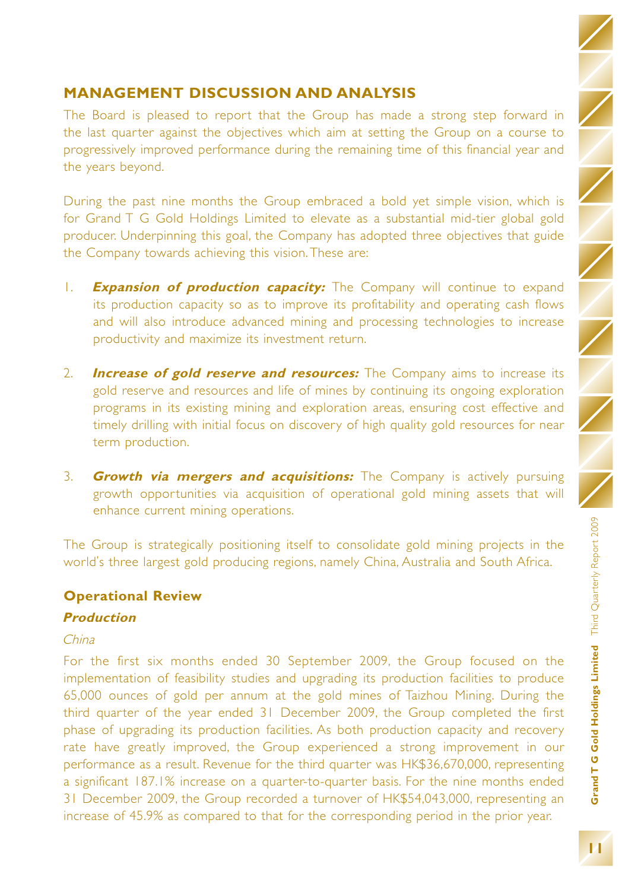# **MANAGEMENT DISCUSSION AND ANALYSIS**

The Board is pleased to report that the Group has made a strong step forward in the last quarter against the objectives which aim at setting the Group on a course to progressively improved performance during the remaining time of this financial year and the years beyond.

During the past nine months the Group embraced a bold yet simple vision, which is for Grand T G Gold Holdings Limited to elevate as a substantial mid-tier global gold producer. Underpinning this goal, the Company has adopted three objectives that guide the Company towards achieving this vision. These are:

- 1. **Expansion of production capacity:** The Company will continue to expand its production capacity so as to improve its profitability and operating cash flows and will also introduce advanced mining and processing technologies to increase productivity and maximize its investment return.
- 2. **Increase of gold reserve and resources:** The Company aims to increase its gold reserve and resources and life of mines by continuing its ongoing exploration programs in its existing mining and exploration areas, ensuring cost effective and timely drilling with initial focus on discovery of high quality gold resources for near term production.
- 3. **Growth via mergers and acquisitions:** The Company is actively pursuing growth opportunities via acquisition of operational gold mining assets that will enhance current mining operations.

The Group is strategically positioning itself to consolidate gold mining projects in the world's three largest gold producing regions, namely China, Australia and South Africa.

## **Operational Review**

### **Production**

### China

For the first six months ended 30 September 2009, the Group focused on the implementation of feasibility studies and upgrading its production facilities to produce 65,000 ounces of gold per annum at the gold mines of Taizhou Mining. During the third quarter of the year ended 31 December 2009, the Group completed the first phase of upgrading its production facilities. As both production capacity and recovery rate have greatly improved, the Group experienced a strong improvement in our performance as a result. Revenue for the third quarter was HK\$36,670,000, representing a significant 187.1% increase on a quarter-to-quarter basis. For the nine months ended 31 December 2009, the Group recorded a turnover of HK\$54,043,000, representing an increase of 45.9% as compared to that for the corresponding period in the prior year.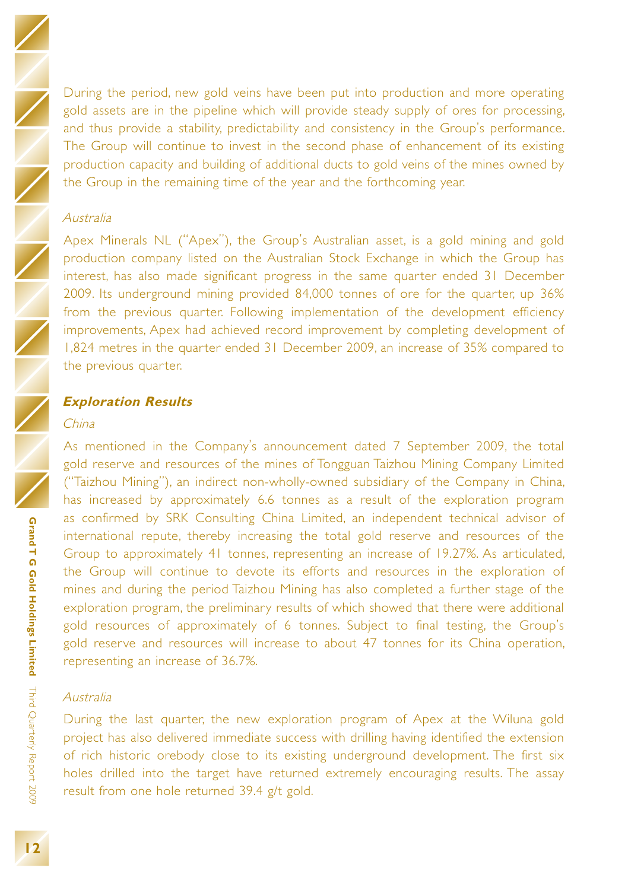During the period, new gold veins have been put into production and more operating gold assets are in the pipeline which will provide steady supply of ores for processing, and thus provide a stability, predictability and consistency in the Group's performance. The Group will continue to invest in the second phase of enhancement of its existing production capacity and building of additional ducts to gold veins of the mines owned by the Group in the remaining time of the year and the forthcoming year.

### Australia

Apex Minerals NL ("Apex"), the Group's Australian asset, is a gold mining and gold production company listed on the Australian Stock Exchange in which the Group has interest, has also made significant progress in the same quarter ended 31 December 2009. Its underground mining provided 84,000 tonnes of ore for the quarter, up 36% from the previous quarter. Following implementation of the development efficiency improvements, Apex had achieved record improvement by completing development of 1,824 metres in the quarter ended 31 December 2009, an increase of 35% compared to the previous quarter.

#### **Exploration Results**

#### China

As mentioned in the Company's announcement dated 7 September 2009, the total gold reserve and resources of the mines of Tongguan Taizhou Mining Company Limited ("Taizhou Mining"), an indirect non-wholly-owned subsidiary of the Company in China, has increased by approximately 6.6 tonnes as a result of the exploration program as confirmed by SRK Consulting China Limited, an independent technical advisor of international repute, thereby increasing the total gold reserve and resources of the Group to approximately 41 tonnes, representing an increase of 19.27%. As articulated, the Group will continue to devote its efforts and resources in the exploration of mines and during the period Taizhou Mining has also completed a further stage of the exploration program, the preliminary results of which showed that there were additional gold resources of approximately of 6 tonnes. Subject to final testing, the Group's gold reserve and resources will increase to about 47 tonnes for its China operation, representing an increase of 36.7%.

#### Australia

During the last quarter, the new exploration program of Apex at the Wiluna gold project has also delivered immediate success with drilling having identified the extension of rich historic orebody close to its existing underground development. The first six holes drilled into the target have returned extremely encouraging results. The assay result from one hole returned 39.4 g/t gold.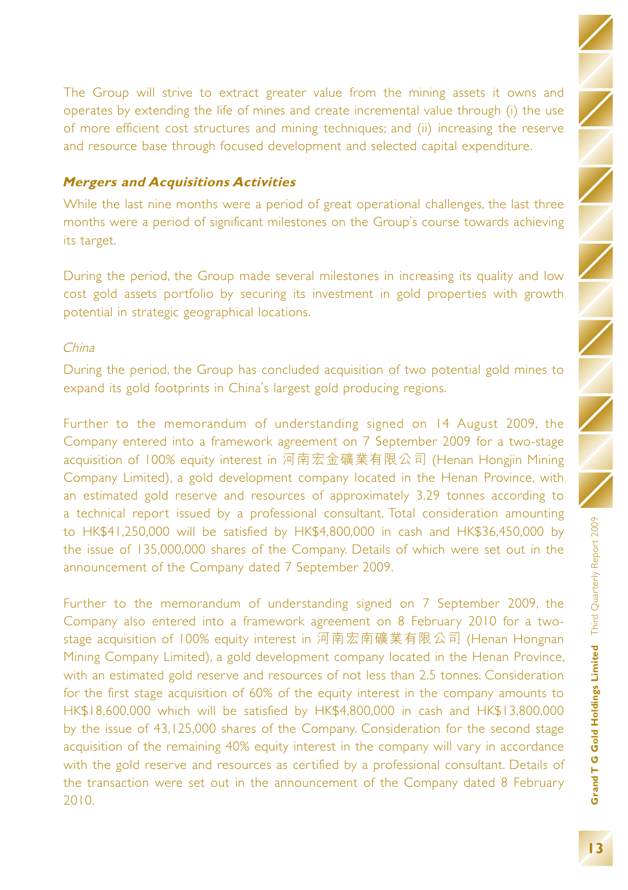Grand T G Gold Holdings Limited Third Quarterly Report 2009 **Grand T G Gold Holdings Limited** Third Quarterly Report 2009

The Group will strive to extract greater value from the mining assets it owns and operates by extending the life of mines and create incremental value through (i) the use of more efficient cost structures and mining techniques; and (ii) increasing the reserve and resource base through focused development and selected capital expenditure.

### **Mergers and Acquisitions Activities**

While the last nine months were a period of great operational challenges, the last three months were a period of significant milestones on the Group's course towards achieving its target.

During the period, the Group made several milestones in increasing its quality and low cost gold assets portfolio by securing its investment in gold properties with growth potential in strategic geographical locations.

### China

During the period, the Group has concluded acquisition of two potential gold mines to expand its gold footprints in China's largest gold producing regions.

Further to the memorandum of understanding signed on 14 August 2009, the Company entered into a framework agreement on 7 September 2009 for a two-stage acquisition of 100% equity interest in 河南宏金礦業有限公司 (Henan Hongjin Mining Company Limited), a gold development company located in the Henan Province, with an estimated gold reserve and resources of approximately 3.29 tonnes according to a technical report issued by a professional consultant. Total consideration amounting to HK\$41,250,000 will be satisfied by HK\$4,800,000 in cash and HK\$36,450,000 by the issue of 135,000,000 shares of the Company. Details of which were set out in the announcement of the Company dated 7 September 2009.

Further to the memorandum of understanding signed on 7 September 2009, the Company also entered into a framework agreement on 8 February 2010 for a twostage acquisition of 100% equity interest in 河南宏南礦業有限公司 (Henan Hongnan Mining Company Limited), a gold development company located in the Henan Province, with an estimated gold reserve and resources of not less than 2.5 tonnes. Consideration for the first stage acquisition of 60% of the equity interest in the company amounts to HK\$18,600,000 which will be satisfied by HK\$4,800,000 in cash and HK\$13,800,000 by the issue of 43,125,000 shares of the Company. Consideration for the second stage acquisition of the remaining 40% equity interest in the company will vary in accordance with the gold reserve and resources as certified by a professional consultant. Details of the transaction were set out in the announcement of the Company dated 8 February 2010.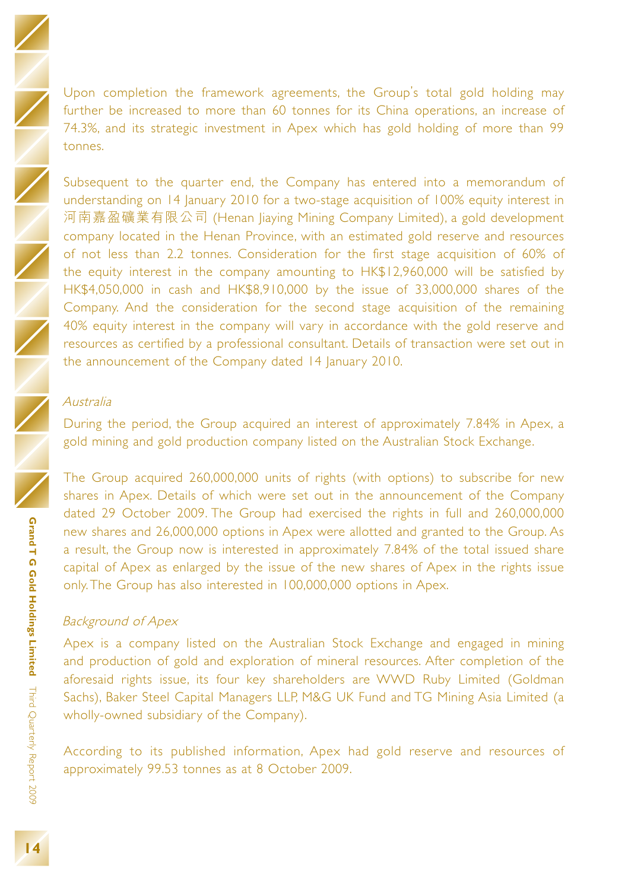Upon completion the framework agreements, the Group's total gold holding may further be increased to more than 60 tonnes for its China operations, an increase of 74.3%, and its strategic investment in Apex which has gold holding of more than 99 tonnes.

Subsequent to the quarter end, the Company has entered into a memorandum of understanding on 14 January 2010 for a two-stage acquisition of 100% equity interest in 河南嘉盈礦業有限公司 (Henan Jiaying Mining Company Limited), a gold development company located in the Henan Province, with an estimated gold reserve and resources of not less than 2.2 tonnes. Consideration for the first stage acquisition of 60% of the equity interest in the company amounting to HK\$12,960,000 will be satisfied by HK\$4,050,000 in cash and HK\$8,910,000 by the issue of 33,000,000 shares of the Company. And the consideration for the second stage acquisition of the remaining 40% equity interest in the company will vary in accordance with the gold reserve and resources as certified by a professional consultant. Details of transaction were set out in the announcement of the Company dated 14 January 2010.

#### Australia

During the period, the Group acquired an interest of approximately 7.84% in Apex, a gold mining and gold production company listed on the Australian Stock Exchange.

The Group acquired 260,000,000 units of rights (with options) to subscribe for new shares in Apex. Details of which were set out in the announcement of the Company dated 29 October 2009. The Group had exercised the rights in full and 260,000,000 new shares and 26,000,000 options in Apex were allotted and granted to the Group. As a result, the Group now is interested in approximately 7.84% of the total issued share capital of Apex as enlarged by the issue of the new shares of Apex in the rights issue only. The Group has also interested in 100,000,000 options in Apex.

#### Background of Apex

Apex is a company listed on the Australian Stock Exchange and engaged in mining and production of gold and exploration of mineral resources. After completion of the aforesaid rights issue, its four key shareholders are WWD Ruby Limited (Goldman Sachs), Baker Steel Capital Managers LLP, M&G UK Fund and TG Mining Asia Limited (a wholly-owned subsidiary of the Company).

According to its published information, Apex had gold reserve and resources of approximately 99.53 tonnes as at 8 October 2009.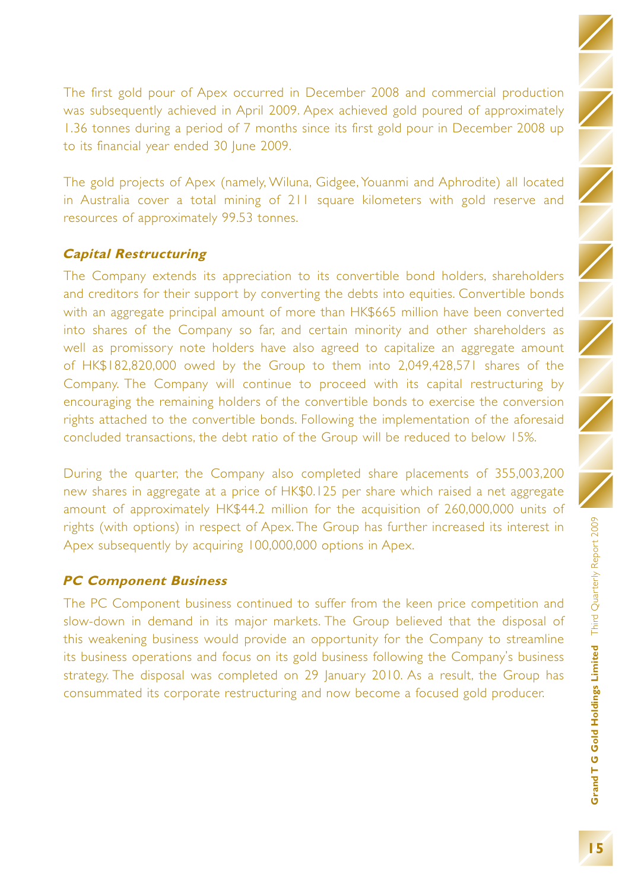The first gold pour of Apex occurred in December 2008 and commercial production was subsequently achieved in April 2009. Apex achieved gold poured of approximately 1.36 tonnes during a period of 7 months since its first gold pour in December 2008 up to its financial year ended 30 June 2009.

The gold projects of Apex (namely, Wiluna, Gidgee, Youanmi and Aphrodite) all located in Australia cover a total mining of 211 square kilometers with gold reserve and resources of approximately 99.53 tonnes.

# **Capital Restructuring**

The Company extends its appreciation to its convertible bond holders, shareholders and creditors for their support by converting the debts into equities. Convertible bonds with an aggregate principal amount of more than HK\$665 million have been converted into shares of the Company so far, and certain minority and other shareholders as well as promissory note holders have also agreed to capitalize an aggregate amount of HK\$182,820,000 owed by the Group to them into 2,049,428,571 shares of the Company. The Company will continue to proceed with its capital restructuring by encouraging the remaining holders of the convertible bonds to exercise the conversion rights attached to the convertible bonds. Following the implementation of the aforesaid concluded transactions, the debt ratio of the Group will be reduced to below 15%.

During the quarter, the Company also completed share placements of 355,003,200 new shares in aggregate at a price of HK\$0.125 per share which raised a net aggregate amount of approximately HK\$44.2 million for the acquisition of 260,000,000 units of rights (with options) in respect of Apex. The Group has further increased its interest in Apex subsequently by acquiring 100,000,000 options in Apex.

### **PC Component Business**

The PC Component business continued to suffer from the keen price competition and slow-down in demand in its major markets. The Group believed that the disposal of this weakening business would provide an opportunity for the Company to streamline its business operations and focus on its gold business following the Company's business strategy. The disposal was completed on 29 January 2010. As a result, the Group has consummated its corporate restructuring and now become a focused gold producer.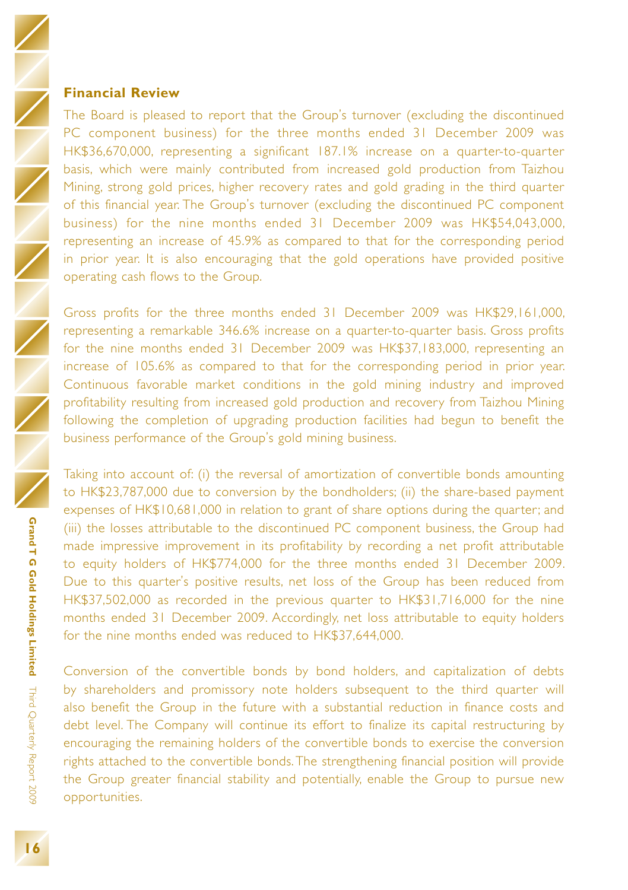### **Financial Review**

The Board is pleased to report that the Group's turnover (excluding the discontinued PC component business) for the three months ended 31 December 2009 was HK\$36,670,000, representing a significant 187.1% increase on a quarter-to-quarter basis, which were mainly contributed from increased gold production from Taizhou Mining, strong gold prices, higher recovery rates and gold grading in the third quarter of this financial year. The Group's turnover (excluding the discontinued PC component business) for the nine months ended 31 December 2009 was HK\$54,043,000, representing an increase of 45.9% as compared to that for the corresponding period in prior year. It is also encouraging that the gold operations have provided positive operating cash flows to the Group.

Gross profits for the three months ended 31 December 2009 was HK\$29,161,000, representing a remarkable 346.6% increase on a quarter-to-quarter basis. Gross profits for the nine months ended 31 December 2009 was HK\$37,183,000, representing an increase of 105.6% as compared to that for the corresponding period in prior year. Continuous favorable market conditions in the gold mining industry and improved profitability resulting from increased gold production and recovery from Taizhou Mining following the completion of upgrading production facilities had begun to benefit the business performance of the Group's gold mining business.

Taking into account of: (i) the reversal of amortization of convertible bonds amounting to HK\$23,787,000 due to conversion by the bondholders; (ii) the share-based payment expenses of HK\$10,681,000 in relation to grant of share options during the quarter; and (iii) the losses attributable to the discontinued PC component business, the Group had made impressive improvement in its profitability by recording a net profit attributable to equity holders of HK\$774,000 for the three months ended 31 December 2009. Due to this quarter's positive results, net loss of the Group has been reduced from HK\$37,502,000 as recorded in the previous quarter to HK\$31,716,000 for the nine months ended 31 December 2009. Accordingly, net loss attributable to equity holders for the nine months ended was reduced to HK\$37,644,000.

Conversion of the convertible bonds by bond holders, and capitalization of debts by shareholders and promissory note holders subsequent to the third quarter will also benefit the Group in the future with a substantial reduction in finance costs and debt level. The Company will continue its effort to finalize its capital restructuring by encouraging the remaining holders of the convertible bonds to exercise the conversion rights attached to the convertible bonds. The strengthening financial position will provide the Group greater financial stability and potentially, enable the Group to pursue new opportunities.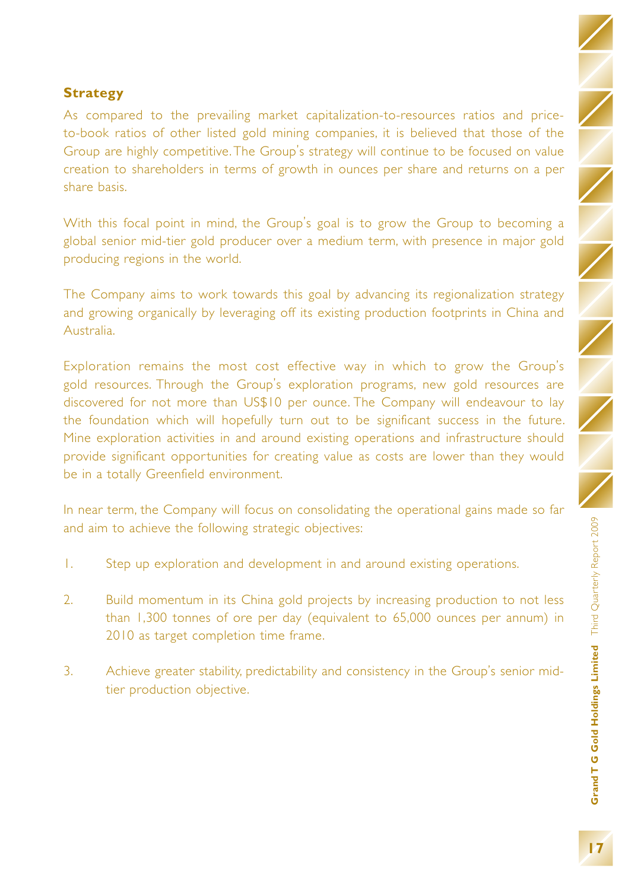### **Strategy**

As compared to the prevailing market capitalization-to-resources ratios and priceto-book ratios of other listed gold mining companies, it is believed that those of the Group are highly competitive. The Group's strategy will continue to be focused on value creation to shareholders in terms of growth in ounces per share and returns on a per share basis.

With this focal point in mind, the Group's goal is to grow the Group to becoming a global senior mid-tier gold producer over a medium term, with presence in major gold producing regions in the world.

The Company aims to work towards this goal by advancing its regionalization strategy and growing organically by leveraging off its existing production footprints in China and Australia.

Exploration remains the most cost effective way in which to grow the Group's gold resources. Through the Group's exploration programs, new gold resources are discovered for not more than US\$10 per ounce. The Company will endeavour to lay the foundation which will hopefully turn out to be significant success in the future. Mine exploration activities in and around existing operations and infrastructure should provide significant opportunities for creating value as costs are lower than they would be in a totally Greenfield environment.

In near term, the Company will focus on consolidating the operational gains made so far and aim to achieve the following strategic objectives:

- 1. Step up exploration and development in and around existing operations.
- 2. Build momentum in its China gold projects by increasing production to not less than 1,300 tonnes of ore per day (equivalent to 65,000 ounces per annum) in 2010 as target completion time frame.
- 3. Achieve greater stability, predictability and consistency in the Group's senior midtier production objective.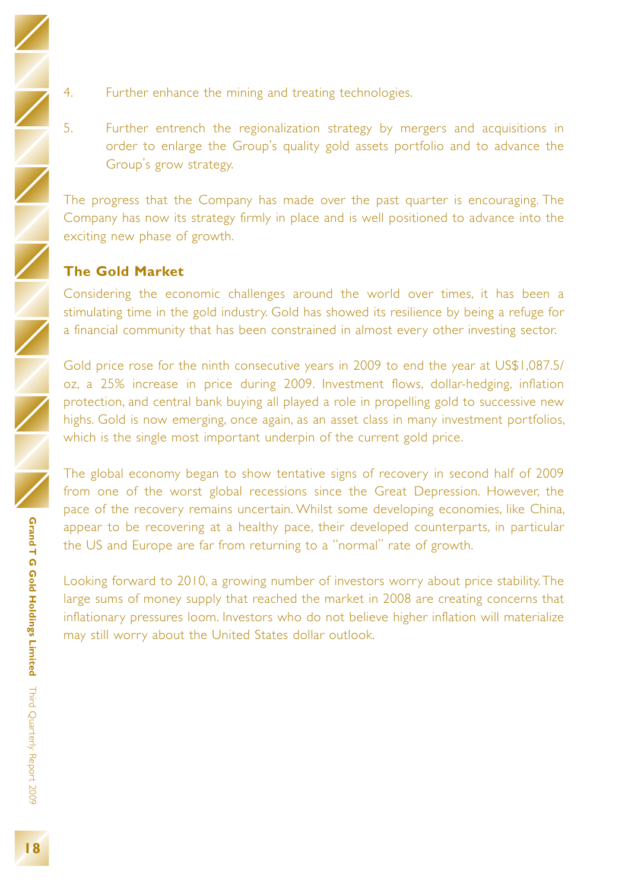- Grand T G Gold Holdings Limited Third Quarterly Report 2009 **Grand T G Gold Holdings Limited** Third Quarterly Report 2009
- 4. Further enhance the mining and treating technologies.
- 5. Further entrench the regionalization strategy by mergers and acquisitions in order to enlarge the Group's quality gold assets portfolio and to advance the Group's grow strategy.

The progress that the Company has made over the past quarter is encouraging. The Company has now its strategy firmly in place and is well positioned to advance into the exciting new phase of growth.

# **The Gold Market**

Considering the economic challenges around the world over times, it has been a stimulating time in the gold industry. Gold has showed its resilience by being a refuge for a financial community that has been constrained in almost every other investing sector.

Gold price rose for the ninth consecutive years in 2009 to end the year at US\$1,087.5/ oz, a 25% increase in price during 2009. Investment flows, dollar-hedging, inflation protection, and central bank buying all played a role in propelling gold to successive new highs. Gold is now emerging, once again, as an asset class in many investment portfolios, which is the single most important underpin of the current gold price.

The global economy began to show tentative signs of recovery in second half of 2009 from one of the worst global recessions since the Great Depression. However, the pace of the recovery remains uncertain. Whilst some developing economies, like China, appear to be recovering at a healthy pace, their developed counterparts, in particular the US and Europe are far from returning to a "normal" rate of growth.

Looking forward to 2010, a growing number of investors worry about price stability. The large sums of money supply that reached the market in 2008 are creating concerns that inflationary pressures loom. Investors who do not believe higher inflation will materialize may still worry about the United States dollar outlook.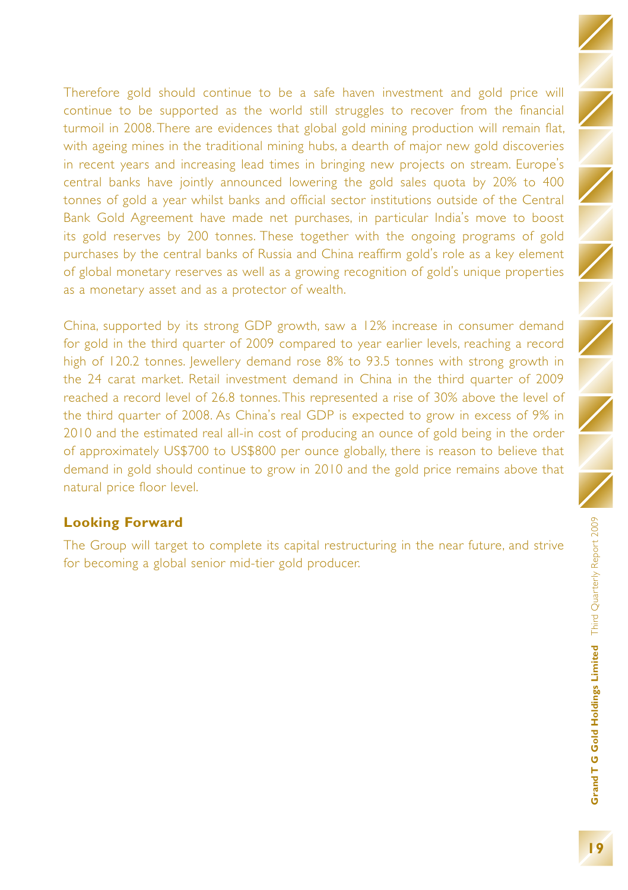Therefore gold should continue to be a safe haven investment and gold price will continue to be supported as the world still struggles to recover from the financial turmoil in 2008. There are evidences that global gold mining production will remain flat, with ageing mines in the traditional mining hubs, a dearth of major new gold discoveries in recent years and increasing lead times in bringing new projects on stream. Europe's central banks have jointly announced lowering the gold sales quota by 20% to 400 tonnes of gold a year whilst banks and official sector institutions outside of the Central Bank Gold Agreement have made net purchases, in particular India's move to boost its gold reserves by 200 tonnes. These together with the ongoing programs of gold purchases by the central banks of Russia and China reaffirm gold's role as a key element of global monetary reserves as well as a growing recognition of gold's unique properties as a monetary asset and as a protector of wealth.

China, supported by its strong GDP growth, saw a 12% increase in consumer demand for gold in the third quarter of 2009 compared to year earlier levels, reaching a record high of 120.2 tonnes. Jewellery demand rose 8% to 93.5 tonnes with strong growth in the 24 carat market. Retail investment demand in China in the third quarter of 2009 reached a record level of 26.8 tonnes. This represented a rise of 30% above the level of the third quarter of 2008. As China's real GDP is expected to grow in excess of 9% in 2010 and the estimated real all-in cost of producing an ounce of gold being in the order of approximately US\$700 to US\$800 per ounce globally, there is reason to believe that demand in gold should continue to grow in 2010 and the gold price remains above that natural price floor level.

# **Looking Forward**

The Group will target to complete its capital restructuring in the near future, and strive for becoming a global senior mid-tier gold producer.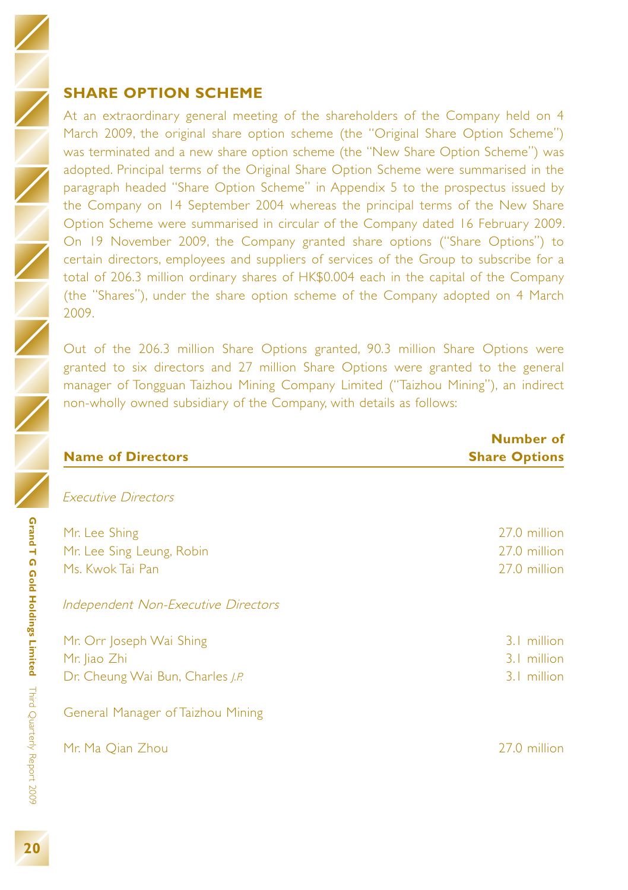# **SHARE OPTION SCHEME**

At an extraordinary general meeting of the shareholders of the Company held on 4 March 2009, the original share option scheme (the "Original Share Option Scheme") was terminated and a new share option scheme (the "New Share Option Scheme") was adopted. Principal terms of the Original Share Option Scheme were summarised in the paragraph headed "Share Option Scheme" in Appendix 5 to the prospectus issued by the Company on 14 September 2004 whereas the principal terms of the New Share Option Scheme were summarised in circular of the Company dated 16 February 2009. On 19 November 2009, the Company granted share options ("Share Options") to certain directors, employees and suppliers of services of the Group to subscribe for a total of 206.3 million ordinary shares of HK\$0.004 each in the capital of the Company (the "Shares"), under the share option scheme of the Company adopted on 4 March 2009.

Out of the 206.3 million Share Options granted, 90.3 million Share Options were granted to six directors and 27 million Share Options were granted to the general manager of Tongguan Taizhou Mining Company Limited ("Taizhou Mining"), an indirect non-wholly owned subsidiary of the Company, with details as follows:

| Number of<br><b>Share Options</b> |
|-----------------------------------|
|                                   |
|                                   |
| 27.0 million                      |
| 27.0 million                      |
| 27.0 million                      |
|                                   |
| 3.1 million                       |
| 3.1 million                       |
| 3.1 million                       |
|                                   |
| 27.0 million                      |
|                                   |

Third Quarterly Report 2009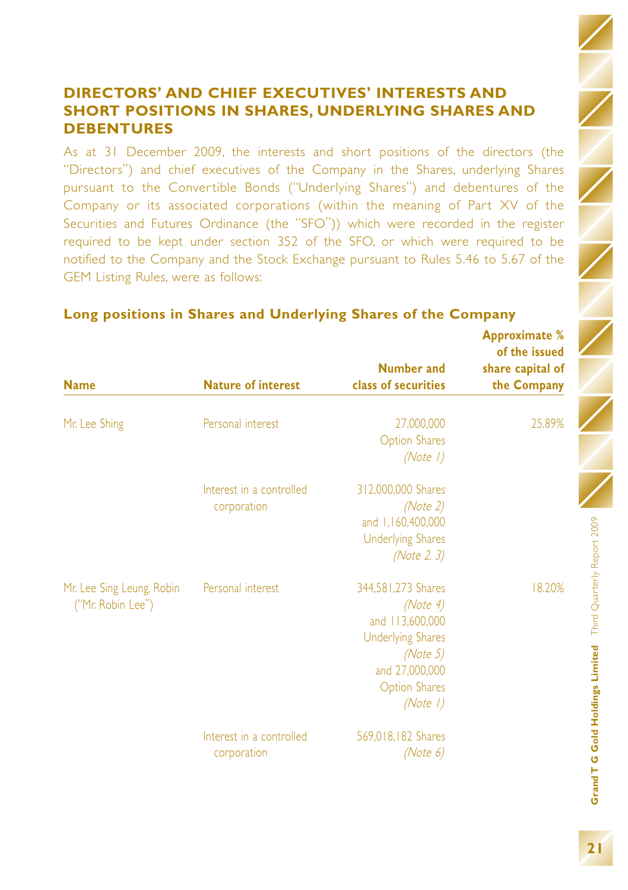As at 31 December 2009, the interests and short positions of the directors (the "Directors") and chief executives of the Company in the Shares, underlying Shares pursuant to the Convertible Bonds ("Underlying Shares") and debentures of the Company or its associated corporations (within the meaning of Part XV of the Securities and Futures Ordinance (the "SFO")) which were recorded in the register required to be kept under section 352 of the SFO, or which were required to be notified to the Company and the Stock Exchange pursuant to Rules 5.46 to 5.67 of the GEM Listing Rules, were as follows:

| <b>Name</b>                                    | <b>Nature of interest</b>               | <b>Number and</b><br>class of securities                                                                                                        | <b>Approximate %</b><br>of the issued<br>share capital of<br>the Company |
|------------------------------------------------|-----------------------------------------|-------------------------------------------------------------------------------------------------------------------------------------------------|--------------------------------------------------------------------------|
|                                                |                                         |                                                                                                                                                 |                                                                          |
| Mr. Lee Shing                                  | Personal interest                       | 27,000,000<br><b>Option Shares</b><br>(Note 1)                                                                                                  | 25.89%                                                                   |
|                                                | Interest in a controlled<br>corporation | 312,000,000 Shares<br>(Note 2)<br>and 1,160,400,000<br><b>Underlying Shares</b><br>(Note 2, 3)                                                  |                                                                          |
| Mr. Lee Sing Leung, Robin<br>("Mr. Robin Lee") | Personal interest                       | 344,581,273 Shares<br>(Note 4)<br>and 113,600,000<br><b>Underlying Shares</b><br>(Note 5)<br>and 27,000,000<br><b>Option Shares</b><br>(Note 1) | 18.20%                                                                   |
|                                                | Interest in a controlled<br>corporation | 569,018,182 Shares<br>(Note 6)                                                                                                                  |                                                                          |

# **Long positions in Shares and Underlying Shares of the Company**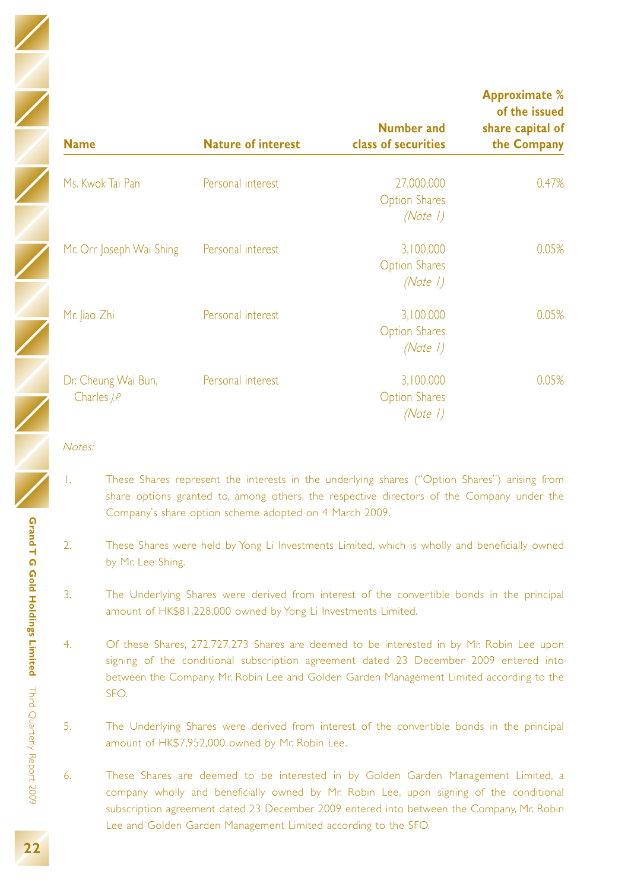| <b>Name</b>                                | <b>Nature of interest</b> | <b>Number and</b><br>class of securities       | <b>Approximate %</b><br>of the issued<br>share capital of<br>the Company |
|--------------------------------------------|---------------------------|------------------------------------------------|--------------------------------------------------------------------------|
| Ms. Kwok Tai Pan                           | Personal interest         | 27,000,000<br><b>Option Shares</b><br>(Note 1) | 0.47%                                                                    |
| Mr. Orr Joseph Wai Shing                   | Personal interest         | 3,100,000<br><b>Option Shares</b><br>(Note 1)  | 0.05%                                                                    |
| Mr. Jiao Zhi                               | Personal interest         | 3,100,000<br><b>Option Shares</b><br>(Note 1)  | 0.05%                                                                    |
| Dr. Cheung Wai Bun,<br>Charles <i>J.P.</i> | Personal interest         | 3,100,000<br><b>Option Shares</b><br>(Note 1)  | 0.05%                                                                    |

#### Notes:

- 1. These Shares represent the interests in the underlying shares ("Option Shares") arising from share options granted to, among others, the respective directors of the Company under the Company's share option scheme adopted on 4 March 2009.
- 2. These Shares were held by Yong Li Investments Limited, which is wholly and beneficially owned by Mr. Lee Shing.
- 3. The Underlying Shares were derived from interest of the convertible bonds in the principal amount of HK\$81,228,000 owned by Yong Li Investments Limited.
- 4. Of these Shares, 272,727,273 Shares are deemed to be interested in by Mr. Robin Lee upon signing of the conditional subscription agreement dated 23 December 2009 entered into between the Company, Mr. Robin Lee and Golden Garden Management Limited according to the SFO.
- 5. The Underlying Shares were derived from interest of the convertible bonds in the principal amount of HK\$7,952,000 owned by Mr. Robin Lee.
- 6. These Shares are deemed to be interested in by Golden Garden Management Limited, a company wholly and beneficially owned by Mr. Robin Lee, upon signing of the conditional subscription agreement dated 23 December 2009 entered into between the Company, Mr. Robin Lee and Golden Garden Management Limited according to the SFO.

**Grand T G Gold Holdings Limited**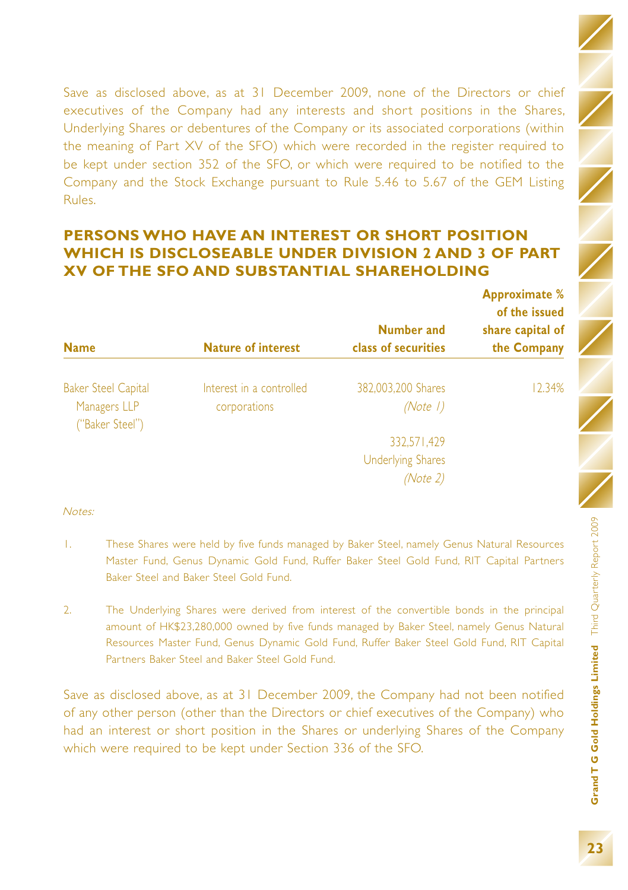Save as disclosed above, as at 31 December 2009, none of the Directors or chief executives of the Company had any interests and short positions in the Shares, Underlying Shares or debentures of the Company or its associated corporations (within the meaning of Part XV of the SFO) which were recorded in the register required to be kept under section 352 of the SFO, or which were required to be notified to the Company and the Stock Exchange pursuant to Rule 5.46 to 5.67 of the GEM Listing Rules.

# **PERSONS WHO HAVE AN INTEREST OR SHORT POSITION WHICH IS DISCLOSEABLE UNDER DIVISION 2 AND 3 OF PART XV OF THE SFO AND SUBSTANTIAL SHAREHOLDING**

| <b>Name</b>                                                   | <b>Nature of interest</b>                | Number and<br>class of securities           | <b>Approximate</b> %<br>of the issued<br>share capital of<br>the Company |
|---------------------------------------------------------------|------------------------------------------|---------------------------------------------|--------------------------------------------------------------------------|
| <b>Baker Steel Capital</b><br>Managers LLP<br>("Baker Steel") | Interest in a controlled<br>corporations | 382,003,200 Shares<br>(Note $\sqrt{}$ )     | 12.34%                                                                   |
|                                                               |                                          | 332.571.429                                 |                                                                          |
|                                                               |                                          | <b>Underlying Shares</b><br><i>(Note 2)</i> |                                                                          |

#### Notes:

- 1. These Shares were held by five funds managed by Baker Steel, namely Genus Natural Resources Master Fund, Genus Dynamic Gold Fund, Ruffer Baker Steel Gold Fund, RIT Capital Partners Baker Steel and Baker Steel Gold Fund.
- 2. The Underlying Shares were derived from interest of the convertible bonds in the principal amount of HK\$23,280,000 owned by five funds managed by Baker Steel, namely Genus Natural Resources Master Fund, Genus Dynamic Gold Fund, Ruffer Baker Steel Gold Fund, RIT Capital Partners Baker Steel and Baker Steel Gold Fund.

Save as disclosed above, as at 31 December 2009, the Company had not been notified of any other person (other than the Directors or chief executives of the Company) who had an interest or short position in the Shares or underlying Shares of the Company which were required to be kept under Section 336 of the SFO.